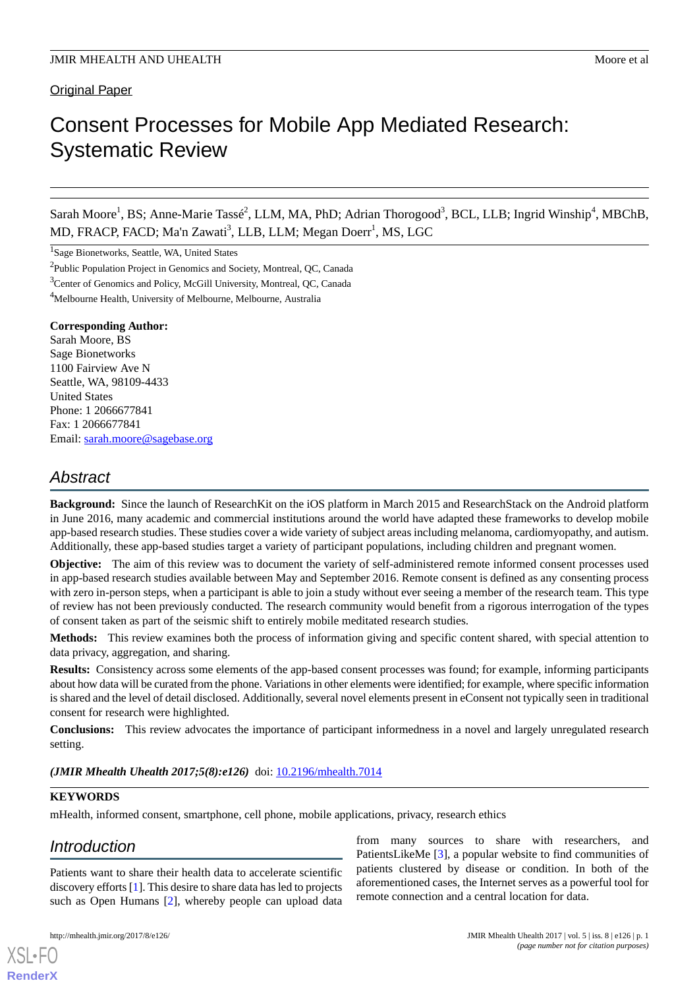# Consent Processes for Mobile App Mediated Research: Systematic Review

Sarah Moore<sup>1</sup>, BS; Anne-Marie Tassé<sup>2</sup>, LLM, MA, PhD; Adrian Thorogood<sup>3</sup>, BCL, LLB; Ingrid Winship<sup>4</sup>, MBChB, MD, FRACP, FACD; Ma'n Zawati<sup>3</sup>, LLB, LLM; Megan Doerr<sup>1</sup>, MS, LGC

<sup>1</sup>Sage Bionetworks, Seattle, WA, United States

<sup>2</sup>Public Population Project in Genomics and Society, Montreal, QC, Canada

<sup>3</sup>Center of Genomics and Policy, McGill University, Montreal, OC, Canada

#### **Corresponding Author:**

Sarah Moore, BS Sage Bionetworks 1100 Fairview Ave N Seattle, WA, 98109-4433 United States Phone: 1 2066677841 Fax: 1 2066677841 Email: [sarah.moore@sagebase.org](mailto:sarah.moore@sagebase.org)

# *Abstract*

**Background:** Since the launch of ResearchKit on the iOS platform in March 2015 and ResearchStack on the Android platform in June 2016, many academic and commercial institutions around the world have adapted these frameworks to develop mobile app-based research studies. These studies cover a wide variety of subject areas including melanoma, cardiomyopathy, and autism. Additionally, these app-based studies target a variety of participant populations, including children and pregnant women.

**Objective:** The aim of this review was to document the variety of self-administered remote informed consent processes used in app-based research studies available between May and September 2016. Remote consent is defined as any consenting process with zero in-person steps, when a participant is able to join a study without ever seeing a member of the research team. This type of review has not been previously conducted. The research community would benefit from a rigorous interrogation of the types of consent taken as part of the seismic shift to entirely mobile meditated research studies.

**Methods:** This review examines both the process of information giving and specific content shared, with special attention to data privacy, aggregation, and sharing.

**Results:** Consistency across some elements of the app-based consent processes was found; for example, informing participants about how data will be curated from the phone. Variations in other elements were identified; for example, where specific information is shared and the level of detail disclosed. Additionally, several novel elements present in eConsent not typically seen in traditional consent for research were highlighted.

**Conclusions:** This review advocates the importance of participant informedness in a novel and largely unregulated research setting.

# *(JMIR Mhealth Uhealth 2017;5(8):e126)* doi: [10.2196/mhealth.7014](http://dx.doi.org/10.2196/mhealth.7014)

# **KEYWORDS**

mHealth, informed consent, smartphone, cell phone, mobile applications, privacy, research ethics

# *Introduction*

[XSL](http://www.w3.org/Style/XSL)•FO **[RenderX](http://www.renderx.com/)**

Patients want to share their health data to accelerate scientific discovery efforts [\[1](#page-10-0)]. This desire to share data has led to projects such as Open Humans [[2\]](#page-10-1), whereby people can upload data

from many sources to share with researchers, and PatientsLikeMe [[3\]](#page-10-2), a popular website to find communities of patients clustered by disease or condition. In both of the aforementioned cases, the Internet serves as a powerful tool for remote connection and a central location for data.

<sup>&</sup>lt;sup>4</sup>Melbourne Health, University of Melbourne, Melbourne, Australia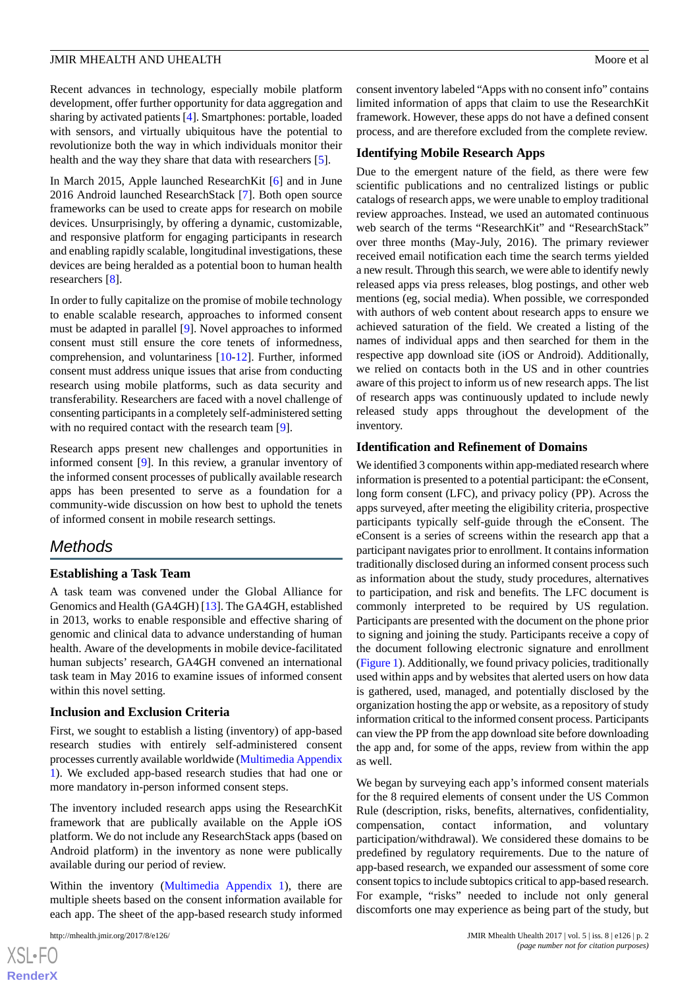Recent advances in technology, especially mobile platform development, offer further opportunity for data aggregation and sharing by activated patients [\[4\]](#page-10-3). Smartphones: portable, loaded with sensors, and virtually ubiquitous have the potential to revolutionize both the way in which individuals monitor their health and the way they share that data with researchers [\[5](#page-10-4)].

In March 2015, Apple launched ResearchKit [[6\]](#page-10-5) and in June 2016 Android launched ResearchStack [\[7\]](#page-10-6). Both open source frameworks can be used to create apps for research on mobile devices. Unsurprisingly, by offering a dynamic, customizable, and responsive platform for engaging participants in research and enabling rapidly scalable, longitudinal investigations, these devices are being heralded as a potential boon to human health researchers [\[8](#page-11-0)].

In order to fully capitalize on the promise of mobile technology to enable scalable research, approaches to informed consent must be adapted in parallel [[9\]](#page-11-1). Novel approaches to informed consent must still ensure the core tenets of informedness, comprehension, and voluntariness [\[10](#page-11-2)-[12\]](#page-11-3). Further, informed consent must address unique issues that arise from conducting research using mobile platforms, such as data security and transferability. Researchers are faced with a novel challenge of consenting participants in a completely self-administered setting with no required contact with the research team [[9\]](#page-11-1).

Research apps present new challenges and opportunities in informed consent [\[9](#page-11-1)]. In this review, a granular inventory of the informed consent processes of publically available research apps has been presented to serve as a foundation for a community-wide discussion on how best to uphold the tenets of informed consent in mobile research settings.

# *Methods*

# **Establishing a Task Team**

A task team was convened under the Global Alliance for Genomics and Health (GA4GH) [[13\]](#page-11-4). The GA4GH, established in 2013, works to enable responsible and effective sharing of genomic and clinical data to advance understanding of human health. Aware of the developments in mobile device-facilitated human subjects' research, GA4GH convened an international task team in May 2016 to examine issues of informed consent within this novel setting.

#### **Inclusion and Exclusion Criteria**

First, we sought to establish a listing (inventory) of app-based research studies with entirely self-administered consent processes currently available worldwide [\(Multimedia Appendix](#page-10-7) [1\)](#page-10-7). We excluded app-based research studies that had one or more mandatory in-person informed consent steps.

The inventory included research apps using the ResearchKit framework that are publically available on the Apple iOS platform. We do not include any ResearchStack apps (based on Android platform) in the inventory as none were publically available during our period of review.

Within the inventory [\(Multimedia Appendix 1](#page-10-7)), there are multiple sheets based on the consent information available for each app. The sheet of the app-based research study informed

consent inventory labeled "Apps with no consent info" contains limited information of apps that claim to use the ResearchKit framework. However, these apps do not have a defined consent process, and are therefore excluded from the complete review.

#### **Identifying Mobile Research Apps**

Due to the emergent nature of the field, as there were few scientific publications and no centralized listings or public catalogs of research apps, we were unable to employ traditional review approaches. Instead, we used an automated continuous web search of the terms "ResearchKit" and "ResearchStack" over three months (May-July, 2016). The primary reviewer received email notification each time the search terms yielded a new result. Through this search, we were able to identify newly released apps via press releases, blog postings, and other web mentions (eg, social media). When possible, we corresponded with authors of web content about research apps to ensure we achieved saturation of the field. We created a listing of the names of individual apps and then searched for them in the respective app download site (iOS or Android). Additionally, we relied on contacts both in the US and in other countries aware of this project to inform us of new research apps. The list of research apps was continuously updated to include newly released study apps throughout the development of the inventory.

#### **Identification and Refinement of Domains**

We identified 3 components within app-mediated research where information is presented to a potential participant: the eConsent, long form consent (LFC), and privacy policy (PP). Across the apps surveyed, after meeting the eligibility criteria, prospective participants typically self-guide through the eConsent. The eConsent is a series of screens within the research app that a participant navigates prior to enrollment. It contains information traditionally disclosed during an informed consent process such as information about the study, study procedures, alternatives to participation, and risk and benefits. The LFC document is commonly interpreted to be required by US regulation. Participants are presented with the document on the phone prior to signing and joining the study. Participants receive a copy of the document following electronic signature and enrollment ([Figure 1\)](#page-2-0). Additionally, we found privacy policies, traditionally used within apps and by websites that alerted users on how data is gathered, used, managed, and potentially disclosed by the organization hosting the app or website, as a repository of study information critical to the informed consent process. Participants can view the PP from the app download site before downloading the app and, for some of the apps, review from within the app as well.

We began by surveying each app's informed consent materials for the 8 required elements of consent under the US Common Rule (description, risks, benefits, alternatives, confidentiality, compensation, contact information, and voluntary participation/withdrawal). We considered these domains to be predefined by regulatory requirements. Due to the nature of app-based research, we expanded our assessment of some core consent topics to include subtopics critical to app-based research. For example, "risks" needed to include not only general discomforts one may experience as being part of the study, but

```
XSL•FO
RenderX
```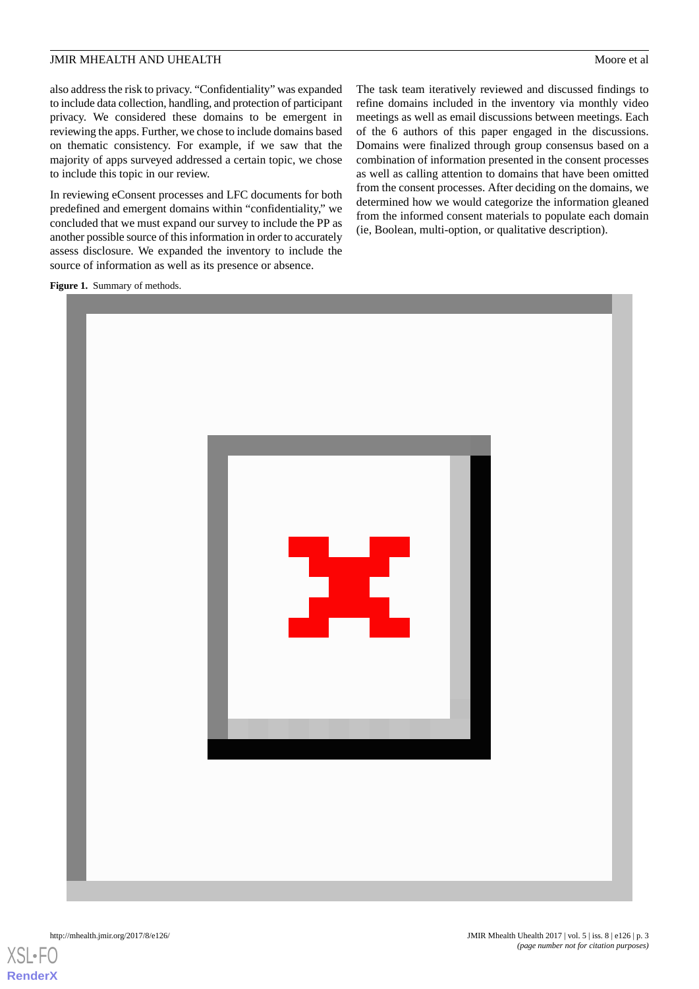also address the risk to privacy. "Confidentiality" was expanded to include data collection, handling, and protection of participant privacy. We considered these domains to be emergent in reviewing the apps. Further, we chose to include domains based on thematic consistency. For example, if we saw that the majority of apps surveyed addressed a certain topic, we chose to include this topic in our review.

In reviewing eConsent processes and LFC documents for both predefined and emergent domains within "confidentiality," we concluded that we must expand our survey to include the PP as another possible source of this information in order to accurately assess disclosure. We expanded the inventory to include the source of information as well as its presence or absence.

The task team iteratively reviewed and discussed findings to refine domains included in the inventory via monthly video meetings as well as email discussions between meetings. Each of the 6 authors of this paper engaged in the discussions. Domains were finalized through group consensus based on a combination of information presented in the consent processes as well as calling attention to domains that have been omitted from the consent processes. After deciding on the domains, we determined how we would categorize the information gleaned from the informed consent materials to populate each domain (ie, Boolean, multi-option, or qualitative description).

<span id="page-2-0"></span>**Figure 1.** Summary of methods.



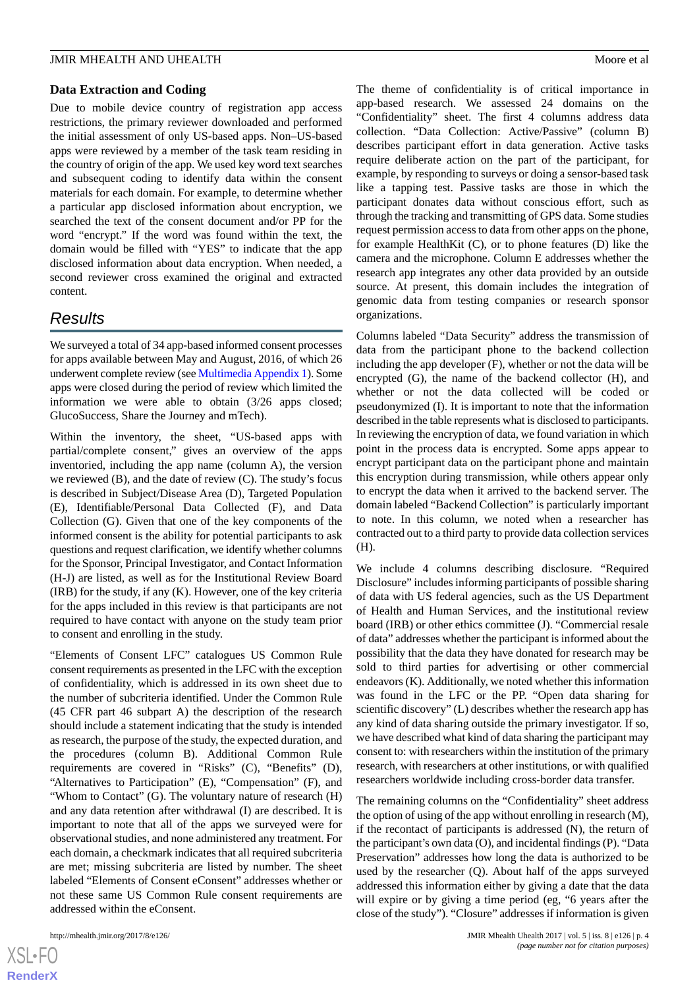#### **Data Extraction and Coding**

Due to mobile device country of registration app access restrictions, the primary reviewer downloaded and performed the initial assessment of only US-based apps. Non–US-based apps were reviewed by a member of the task team residing in the country of origin of the app. We used key word text searches and subsequent coding to identify data within the consent materials for each domain. For example, to determine whether a particular app disclosed information about encryption, we searched the text of the consent document and/or PP for the word "encrypt." If the word was found within the text, the domain would be filled with "YES" to indicate that the app disclosed information about data encryption. When needed, a second reviewer cross examined the original and extracted content.

# *Results*

We surveyed a total of 34 app-based informed consent processes for apps available between May and August, 2016, of which 26 underwent complete review (see [Multimedia Appendix 1\)](#page-10-7). Some apps were closed during the period of review which limited the information we were able to obtain (3/26 apps closed; GlucoSuccess, Share the Journey and mTech).

Within the inventory, the sheet, "US-based apps with partial/complete consent," gives an overview of the apps inventoried, including the app name (column A), the version we reviewed (B), and the date of review (C). The study's focus is described in Subject/Disease Area (D), Targeted Population (E), Identifiable/Personal Data Collected (F), and Data Collection (G). Given that one of the key components of the informed consent is the ability for potential participants to ask questions and request clarification, we identify whether columns for the Sponsor, Principal Investigator, and Contact Information (H-J) are listed, as well as for the Institutional Review Board (IRB) for the study, if any (K). However, one of the key criteria for the apps included in this review is that participants are not required to have contact with anyone on the study team prior to consent and enrolling in the study.

"Elements of Consent LFC" catalogues US Common Rule consent requirements as presented in the LFC with the exception of confidentiality, which is addressed in its own sheet due to the number of subcriteria identified. Under the Common Rule (45 CFR part 46 subpart A) the description of the research should include a statement indicating that the study is intended as research, the purpose of the study, the expected duration, and the procedures (column B). Additional Common Rule requirements are covered in "Risks" (C), "Benefits" (D), "Alternatives to Participation" (E), "Compensation" (F), and "Whom to Contact" (G). The voluntary nature of research (H) and any data retention after withdrawal (I) are described. It is important to note that all of the apps we surveyed were for observational studies, and none administered any treatment. For each domain, a checkmark indicates that all required subcriteria are met; missing subcriteria are listed by number. The sheet labeled "Elements of Consent eConsent" addresses whether or not these same US Common Rule consent requirements are addressed within the eConsent.

The theme of confidentiality is of critical importance in app-based research. We assessed 24 domains on the "Confidentiality" sheet. The first 4 columns address data collection. "Data Collection: Active/Passive" (column B) describes participant effort in data generation. Active tasks require deliberate action on the part of the participant, for example, by responding to surveys or doing a sensor-based task like a tapping test. Passive tasks are those in which the participant donates data without conscious effort, such as through the tracking and transmitting of GPS data. Some studies request permission access to data from other apps on the phone, for example HealthKit (C), or to phone features (D) like the camera and the microphone. Column E addresses whether the research app integrates any other data provided by an outside source. At present, this domain includes the integration of genomic data from testing companies or research sponsor organizations.

Columns labeled "Data Security" address the transmission of data from the participant phone to the backend collection including the app developer (F), whether or not the data will be encrypted (G), the name of the backend collector (H), and whether or not the data collected will be coded or pseudonymized (I). It is important to note that the information described in the table represents what is disclosed to participants. In reviewing the encryption of data, we found variation in which point in the process data is encrypted. Some apps appear to encrypt participant data on the participant phone and maintain this encryption during transmission, while others appear only to encrypt the data when it arrived to the backend server. The domain labeled "Backend Collection" is particularly important to note. In this column, we noted when a researcher has contracted out to a third party to provide data collection services (H).

We include 4 columns describing disclosure. "Required Disclosure" includes informing participants of possible sharing of data with US federal agencies, such as the US Department of Health and Human Services, and the institutional review board (IRB) or other ethics committee (J). "Commercial resale of data" addresses whether the participant is informed about the possibility that the data they have donated for research may be sold to third parties for advertising or other commercial endeavors (K). Additionally, we noted whether this information was found in the LFC or the PP. "Open data sharing for scientific discovery" (L) describes whether the research app has any kind of data sharing outside the primary investigator. If so, we have described what kind of data sharing the participant may consent to: with researchers within the institution of the primary research, with researchers at other institutions, or with qualified researchers worldwide including cross-border data transfer.

The remaining columns on the "Confidentiality" sheet address the option of using of the app without enrolling in research (M), if the recontact of participants is addressed (N), the return of the participant's own data (O), and incidental findings (P). "Data Preservation" addresses how long the data is authorized to be used by the researcher (Q). About half of the apps surveyed addressed this information either by giving a date that the data will expire or by giving a time period (eg, "6 years after the close of the study"). "Closure" addresses if information is given

```
XS-FO
RenderX
```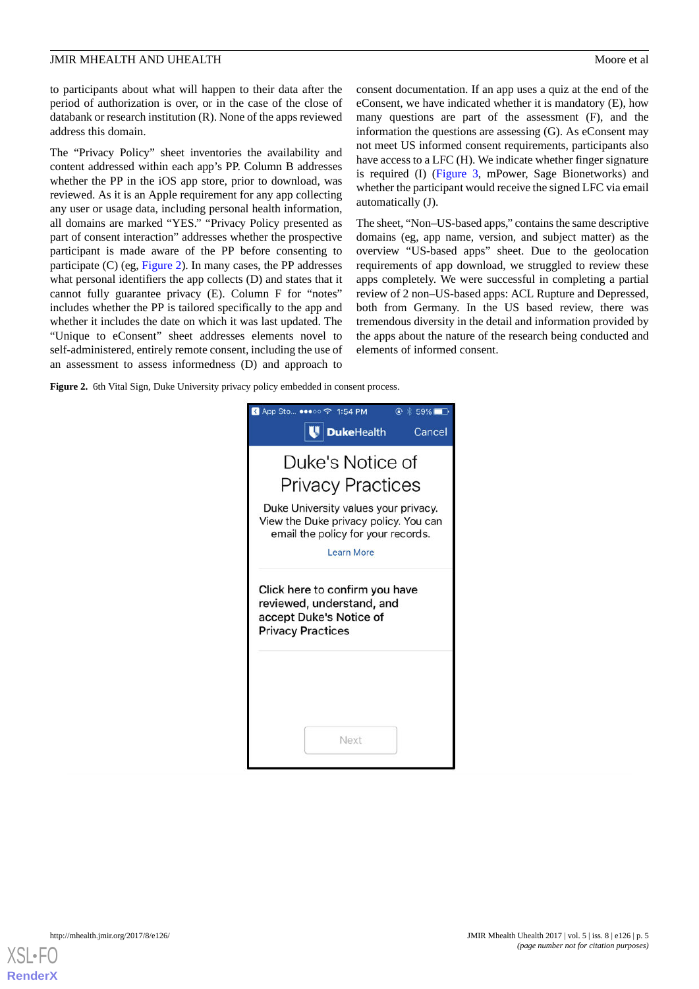to participants about what will happen to their data after the period of authorization is over, or in the case of the close of databank or research institution (R). None of the apps reviewed address this domain.

The "Privacy Policy" sheet inventories the availability and content addressed within each app's PP. Column B addresses whether the PP in the iOS app store, prior to download, was reviewed. As it is an Apple requirement for any app collecting any user or usage data, including personal health information, all domains are marked "YES." "Privacy Policy presented as part of consent interaction" addresses whether the prospective participant is made aware of the PP before consenting to participate (C) (eg, [Figure 2\)](#page-4-0). In many cases, the PP addresses what personal identifiers the app collects (D) and states that it cannot fully guarantee privacy (E). Column F for "notes" includes whether the PP is tailored specifically to the app and whether it includes the date on which it was last updated. The "Unique to eConsent" sheet addresses elements novel to self-administered, entirely remote consent, including the use of an assessment to assess informedness (D) and approach to

consent documentation. If an app uses a quiz at the end of the eConsent, we have indicated whether it is mandatory (E), how many questions are part of the assessment (F), and the information the questions are assessing (G). As eConsent may not meet US informed consent requirements, participants also have access to a LFC (H). We indicate whether finger signature is required (I) ([Figure 3,](#page-5-0) mPower, Sage Bionetworks) and whether the participant would receive the signed LFC via email automatically (J).

The sheet, "Non–US-based apps," contains the same descriptive domains (eg, app name, version, and subject matter) as the overview "US-based apps" sheet. Due to the geolocation requirements of app download, we struggled to review these apps completely. We were successful in completing a partial review of 2 non–US-based apps: ACL Rupture and Depressed, both from Germany. In the US based review, there was tremendous diversity in the detail and information provided by the apps about the nature of the research being conducted and elements of informed consent.

<span id="page-4-0"></span>Figure 2. 6th Vital Sign, Duke University privacy policy embedded in consent process.



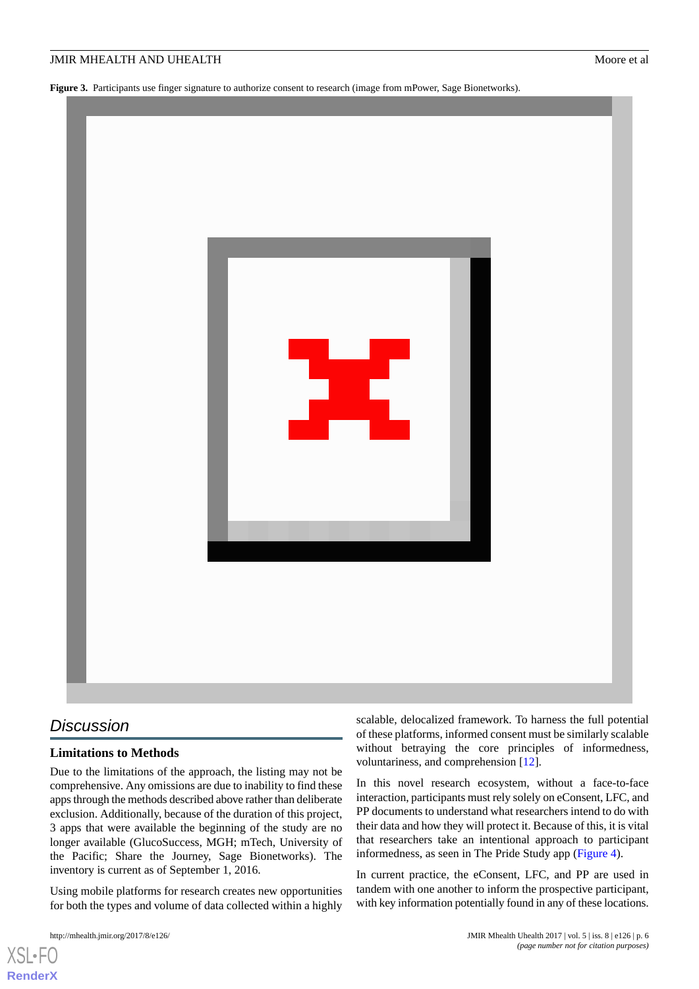<span id="page-5-0"></span>**Figure 3.** Participants use finger signature to authorize consent to research (image from mPower, Sage Bionetworks).



# *Discussion*

# **Limitations to Methods**

Due to the limitations of the approach, the listing may not be comprehensive. Any omissions are due to inability to find these apps through the methods described above rather than deliberate exclusion. Additionally, because of the duration of this project, 3 apps that were available the beginning of the study are no longer available (GlucoSuccess, MGH; mTech, University of the Pacific; Share the Journey, Sage Bionetworks). The inventory is current as of September 1, 2016.

Using mobile platforms for research creates new opportunities for both the types and volume of data collected within a highly

[XSL](http://www.w3.org/Style/XSL)•FO **[RenderX](http://www.renderx.com/)**

scalable, delocalized framework. To harness the full potential of these platforms, informed consent must be similarly scalable without betraying the core principles of informedness, voluntariness, and comprehension [[12\]](#page-11-3).

In this novel research ecosystem, without a face-to-face interaction, participants must rely solely on eConsent, LFC, and PP documents to understand what researchers intend to do with their data and how they will protect it. Because of this, it is vital that researchers take an intentional approach to participant informedness, as seen in The Pride Study app ([Figure 4](#page-6-0)).

In current practice, the eConsent, LFC, and PP are used in tandem with one another to inform the prospective participant, with key information potentially found in any of these locations.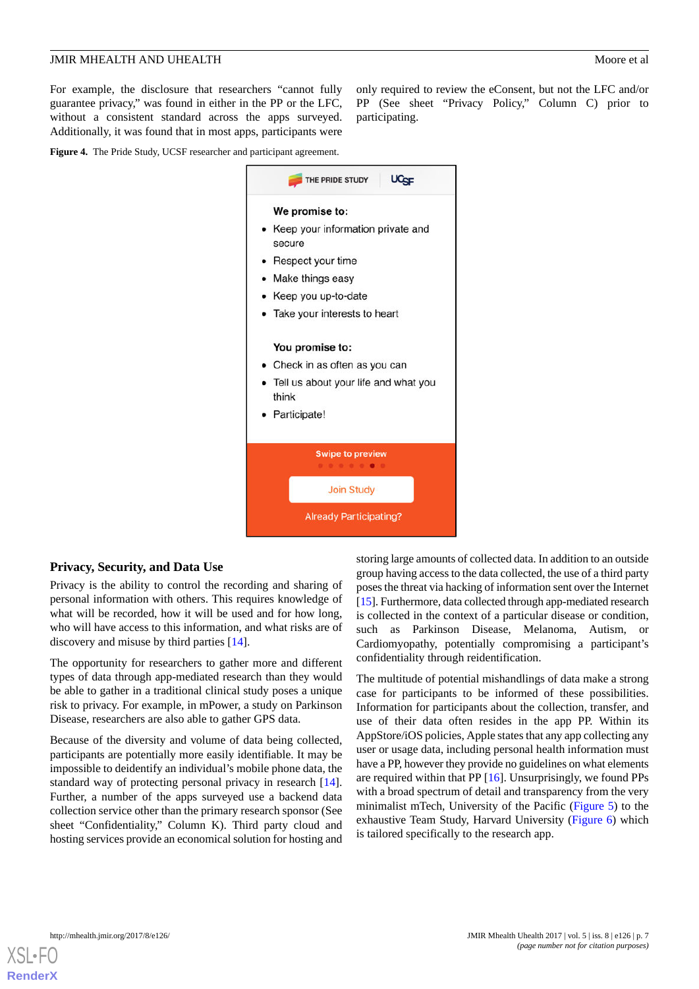For example, the disclosure that researchers "cannot fully guarantee privacy," was found in either in the PP or the LFC, without a consistent standard across the apps surveyed. Additionally, it was found that in most apps, participants were

only required to review the eConsent, but not the LFC and/or PP (See sheet "Privacy Policy," Column C) prior to participating.

<span id="page-6-0"></span>**Figure 4.** The Pride Study, UCSF researcher and participant agreement.



# **Privacy, Security, and Data Use**

Privacy is the ability to control the recording and sharing of personal information with others. This requires knowledge of what will be recorded, how it will be used and for how long, who will have access to this information, and what risks are of discovery and misuse by third parties [\[14](#page-11-5)].

The opportunity for researchers to gather more and different types of data through app-mediated research than they would be able to gather in a traditional clinical study poses a unique risk to privacy. For example, in mPower, a study on Parkinson Disease, researchers are also able to gather GPS data.

Because of the diversity and volume of data being collected, participants are potentially more easily identifiable. It may be impossible to deidentify an individual's mobile phone data, the standard way of protecting personal privacy in research [[14\]](#page-11-5). Further, a number of the apps surveyed use a backend data collection service other than the primary research sponsor (See sheet "Confidentiality," Column K). Third party cloud and hosting services provide an economical solution for hosting and

storing large amounts of collected data. In addition to an outside group having access to the data collected, the use of a third party poses the threat via hacking of information sent over the Internet [[15\]](#page-11-6). Furthermore, data collected through app-mediated research is collected in the context of a particular disease or condition, such as Parkinson Disease, Melanoma, Autism, or Cardiomyopathy, potentially compromising a participant's confidentiality through reidentification.

The multitude of potential mishandlings of data make a strong case for participants to be informed of these possibilities. Information for participants about the collection, transfer, and use of their data often resides in the app PP. Within its AppStore/iOS policies, Apple states that any app collecting any user or usage data, including personal health information must have a PP, however they provide no guidelines on what elements are required within that PP [[16\]](#page-11-7). Unsurprisingly, we found PPs with a broad spectrum of detail and transparency from the very minimalist mTech, University of the Pacific ([Figure 5\)](#page-7-0) to the exhaustive Team Study, Harvard University [\(Figure 6\)](#page-7-1) which is tailored specifically to the research app.

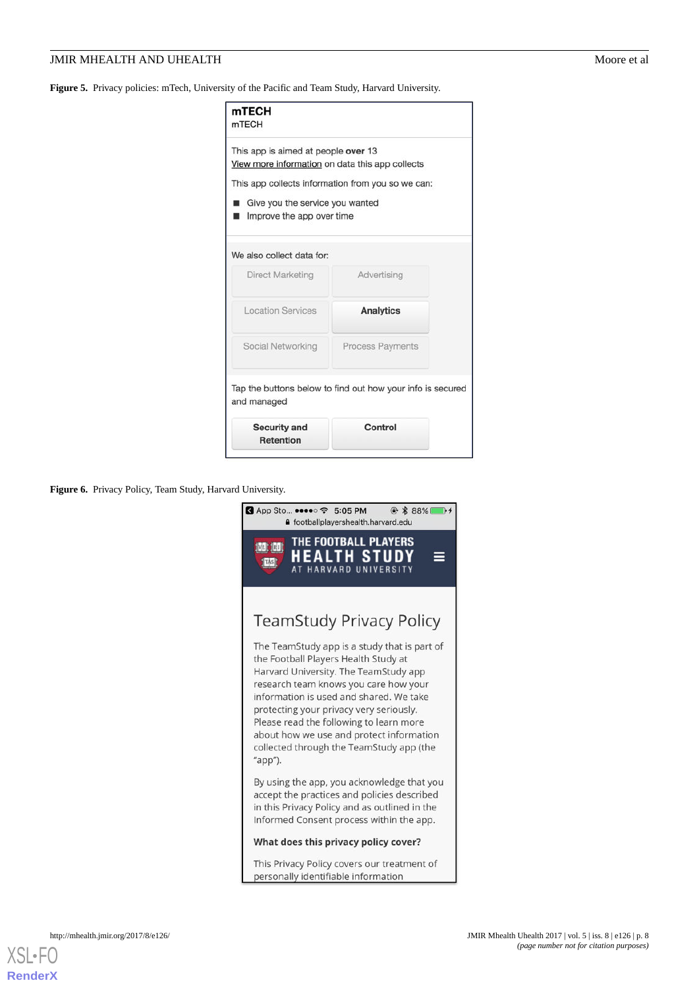# **JMIR MHEALTH AND UHEALTH** MOORE EXAMPLE AND THE MOORE EXAMPLE AND THE MOORE EXAMPLE ASSESSMENT AND THE MOORE EXAMPLE ASSESSMENT AND THE MOORE EXAMPLE ASSESSMENT AND THE MOORE EXAMPLE ASSESSMENT AND THE MOORE ASSESSMENT AN

<span id="page-7-0"></span>**Figure 5.** Privacy policies: mTech, University of the Pacific and Team Study, Harvard University.

| mTECH<br><b>mTECH</b>                                                                                                                                  |                                                            |  |
|--------------------------------------------------------------------------------------------------------------------------------------------------------|------------------------------------------------------------|--|
| This app is aimed at people over 13<br>View more information on data this app collects<br>Give you the service you wanted<br>Improve the app over time | This app collects information from you so we can:          |  |
| We also collect data for:                                                                                                                              |                                                            |  |
| Direct Marketing                                                                                                                                       | Advertising                                                |  |
| <b>Location Services</b>                                                                                                                               | <b>Analytics</b>                                           |  |
| Social Networking                                                                                                                                      | <b>Process Payments</b>                                    |  |
| and managed                                                                                                                                            | Tap the buttons below to find out how your info is secured |  |
| <b>Security and</b><br><b>Retention</b>                                                                                                                | Control                                                    |  |

<span id="page-7-1"></span>**Figure 6.** Privacy Policy, Team Study, Harvard University.



 $X$ SI • FO **[RenderX](http://www.renderx.com/)**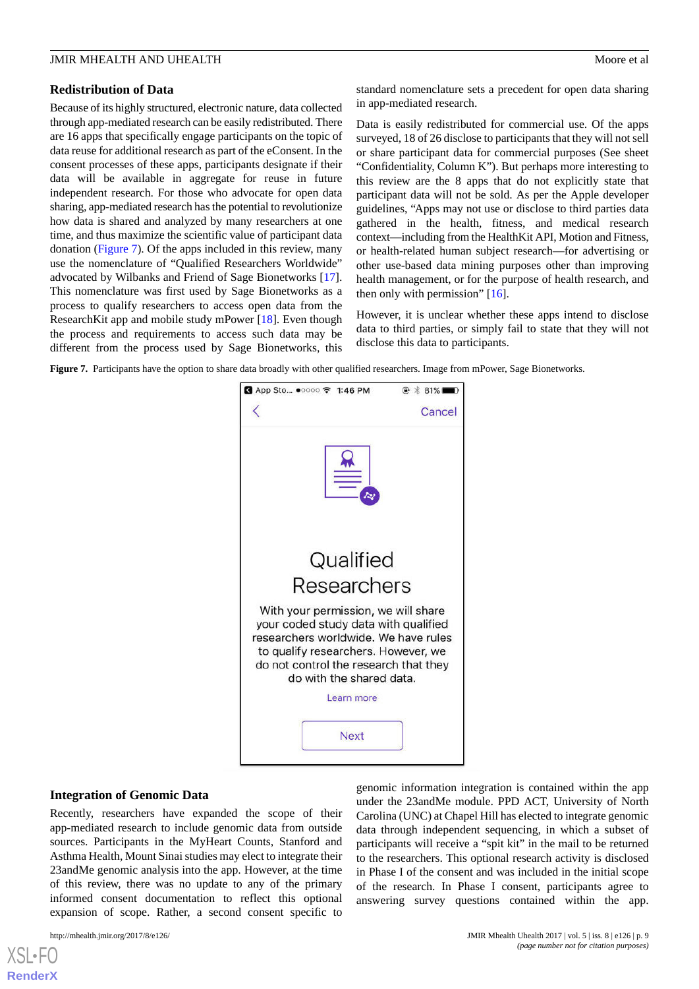#### **Redistribution of Data**

Because of its highly structured, electronic nature, data collected through app-mediated research can be easily redistributed. There are 16 apps that specifically engage participants on the topic of data reuse for additional research as part of the eConsent. In the consent processes of these apps, participants designate if their data will be available in aggregate for reuse in future independent research. For those who advocate for open data sharing, app-mediated research has the potential to revolutionize how data is shared and analyzed by many researchers at one time, and thus maximize the scientific value of participant data donation [\(Figure 7](#page-8-0)). Of the apps included in this review, many use the nomenclature of "Qualified Researchers Worldwide" advocated by Wilbanks and Friend of Sage Bionetworks [[17\]](#page-11-8). This nomenclature was first used by Sage Bionetworks as a process to qualify researchers to access open data from the ResearchKit app and mobile study mPower [\[18](#page-11-9)]. Even though the process and requirements to access such data may be different from the process used by Sage Bionetworks, this

standard nomenclature sets a precedent for open data sharing in app-mediated research.

Data is easily redistributed for commercial use. Of the apps surveyed, 18 of 26 disclose to participants that they will not sell or share participant data for commercial purposes (See sheet "Confidentiality, Column K"). But perhaps more interesting to this review are the 8 apps that do not explicitly state that participant data will not be sold. As per the Apple developer guidelines, "Apps may not use or disclose to third parties data gathered in the health, fitness, and medical research context—including from the HealthKit API, Motion and Fitness, or health-related human subject research—for advertising or other use-based data mining purposes other than improving health management, or for the purpose of health research, and then only with permission" [\[16](#page-11-7)].

However, it is unclear whether these apps intend to disclose data to third parties, or simply fail to state that they will not disclose this data to participants.

<span id="page-8-0"></span>**Figure 7.** Participants have the option to share data broadly with other qualified researchers. Image from mPower, Sage Bionetworks.



#### **Integration of Genomic Data**

Recently, researchers have expanded the scope of their app-mediated research to include genomic data from outside sources. Participants in the MyHeart Counts, Stanford and Asthma Health, Mount Sinai studies may elect to integrate their 23andMe genomic analysis into the app. However, at the time of this review, there was no update to any of the primary informed consent documentation to reflect this optional expansion of scope. Rather, a second consent specific to

[XSL](http://www.w3.org/Style/XSL)•FO **[RenderX](http://www.renderx.com/)**

genomic information integration is contained within the app under the 23andMe module. PPD ACT, University of North Carolina (UNC) at Chapel Hill has elected to integrate genomic data through independent sequencing, in which a subset of participants will receive a "spit kit" in the mail to be returned to the researchers. This optional research activity is disclosed in Phase I of the consent and was included in the initial scope of the research. In Phase I consent, participants agree to answering survey questions contained within the app.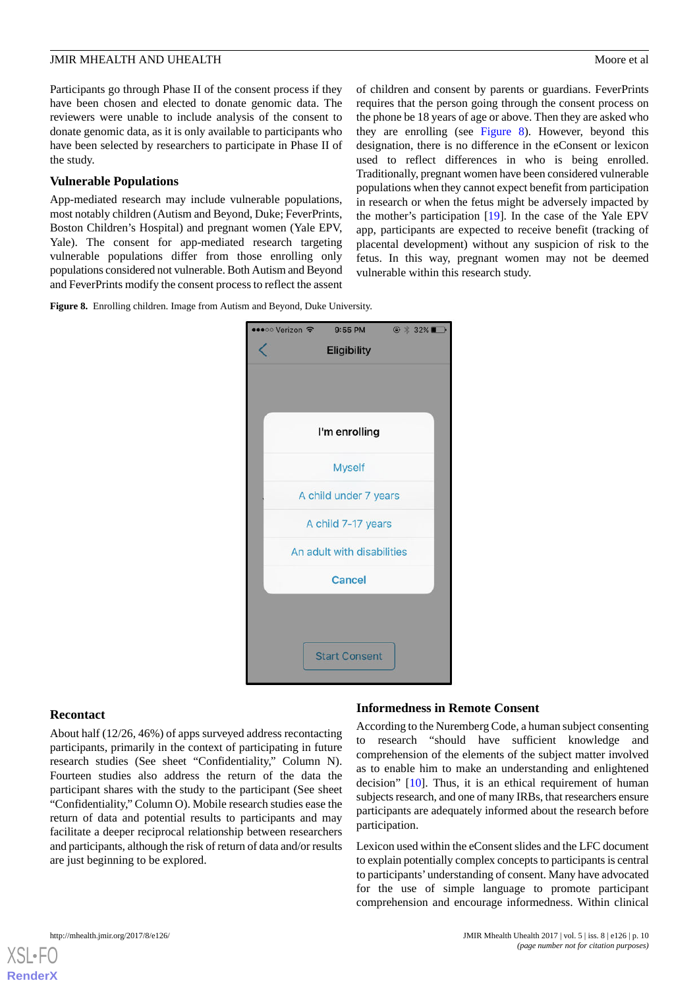Participants go through Phase II of the consent process if they have been chosen and elected to donate genomic data. The reviewers were unable to include analysis of the consent to donate genomic data, as it is only available to participants who have been selected by researchers to participate in Phase II of the study.

#### **Vulnerable Populations**

App-mediated research may include vulnerable populations, most notably children (Autism and Beyond, Duke; FeverPrints, Boston Children's Hospital) and pregnant women (Yale EPV, Yale). The consent for app-mediated research targeting vulnerable populations differ from those enrolling only populations considered not vulnerable. Both Autism and Beyond and FeverPrints modify the consent process to reflect the assent

of children and consent by parents or guardians. FeverPrints requires that the person going through the consent process on the phone be 18 years of age or above. Then they are asked who they are enrolling (see [Figure 8\)](#page-9-0). However, beyond this designation, there is no difference in the eConsent or lexicon used to reflect differences in who is being enrolled. Traditionally, pregnant women have been considered vulnerable populations when they cannot expect benefit from participation in research or when the fetus might be adversely impacted by the mother's participation [[19\]](#page-11-10). In the case of the Yale EPV app, participants are expected to receive benefit (tracking of placental development) without any suspicion of risk to the fetus. In this way, pregnant women may not be deemed vulnerable within this research study.

<span id="page-9-0"></span>**Figure 8.** Enrolling children. Image from Autism and Beyond, Duke University.



#### **Recontact**

About half (12/26, 46%) of apps surveyed address recontacting participants, primarily in the context of participating in future research studies (See sheet "Confidentiality," Column N). Fourteen studies also address the return of the data the participant shares with the study to the participant (See sheet "Confidentiality," Column O). Mobile research studies ease the return of data and potential results to participants and may facilitate a deeper reciprocal relationship between researchers and participants, although the risk of return of data and/or results are just beginning to be explored.

#### **Informedness in Remote Consent**

According to the Nuremberg Code, a human subject consenting to research "should have sufficient knowledge and comprehension of the elements of the subject matter involved as to enable him to make an understanding and enlightened decision" [[10\]](#page-11-2). Thus, it is an ethical requirement of human subjects research, and one of many IRBs, that researchers ensure participants are adequately informed about the research before participation.

Lexicon used within the eConsent slides and the LFC document to explain potentially complex concepts to participants is central to participants'understanding of consent. Many have advocated for the use of simple language to promote participant comprehension and encourage informedness. Within clinical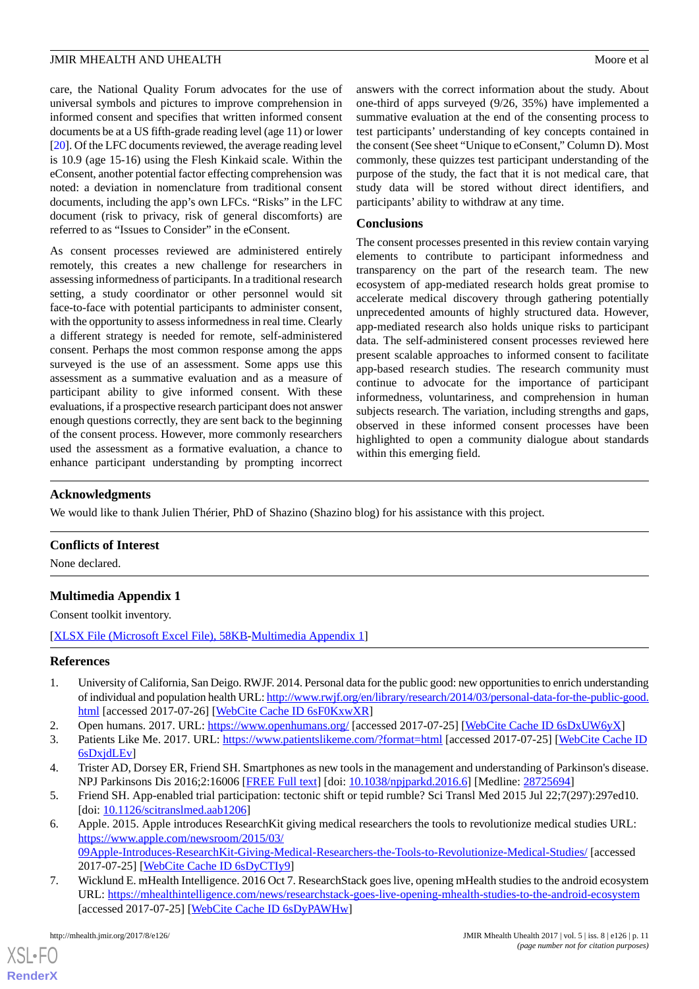care, the National Quality Forum advocates for the use of universal symbols and pictures to improve comprehension in informed consent and specifies that written informed consent documents be at a US fifth-grade reading level (age 11) or lower [[20\]](#page-11-11). Of the LFC documents reviewed, the average reading level is 10.9 (age 15-16) using the Flesh Kinkaid scale. Within the eConsent, another potential factor effecting comprehension was noted: a deviation in nomenclature from traditional consent documents, including the app's own LFCs. "Risks" in the LFC document (risk to privacy, risk of general discomforts) are referred to as "Issues to Consider" in the eConsent.

As consent processes reviewed are administered entirely remotely, this creates a new challenge for researchers in assessing informedness of participants. In a traditional research setting, a study coordinator or other personnel would sit face-to-face with potential participants to administer consent, with the opportunity to assess informedness in real time. Clearly a different strategy is needed for remote, self-administered consent. Perhaps the most common response among the apps surveyed is the use of an assessment. Some apps use this assessment as a summative evaluation and as a measure of participant ability to give informed consent. With these evaluations, if a prospective research participant does not answer enough questions correctly, they are sent back to the beginning of the consent process. However, more commonly researchers used the assessment as a formative evaluation, a chance to enhance participant understanding by prompting incorrect

answers with the correct information about the study. About one-third of apps surveyed (9/26, 35%) have implemented a summative evaluation at the end of the consenting process to test participants' understanding of key concepts contained in the consent (See sheet "Unique to eConsent," Column D). Most commonly, these quizzes test participant understanding of the purpose of the study, the fact that it is not medical care, that study data will be stored without direct identifiers, and participants' ability to withdraw at any time.

# **Conclusions**

The consent processes presented in this review contain varying elements to contribute to participant informedness and transparency on the part of the research team. The new ecosystem of app-mediated research holds great promise to accelerate medical discovery through gathering potentially unprecedented amounts of highly structured data. However, app-mediated research also holds unique risks to participant data. The self-administered consent processes reviewed here present scalable approaches to informed consent to facilitate app-based research studies. The research community must continue to advocate for the importance of participant informedness, voluntariness, and comprehension in human subjects research. The variation, including strengths and gaps, observed in these informed consent processes have been highlighted to open a community dialogue about standards within this emerging field.

# **Acknowledgments**

We would like to thank Julien Thérier, PhD of Shazino (Shazino blog) for his assistance with this project.

# <span id="page-10-7"></span>**Conflicts of Interest**

None declared.

# **Multimedia Appendix 1**

<span id="page-10-0"></span>Consent toolkit inventory.

[[XLSX File \(Microsoft Excel File\), 58KB-Multimedia Appendix 1](https://jmir.org/api/download?alt_name=mhealth_v5i8e126_app1.xlsx&filename=fe0f53d825af51a87c76412316cee8cd.xlsx)]

# <span id="page-10-2"></span><span id="page-10-1"></span>**References**

- <span id="page-10-3"></span>1. University of California, San Deigo. RWJF. 2014. Personal data for the public good: new opportunities to enrich understanding of individual and population health URL: [http://www.rwjf.org/en/library/research/2014/03/personal-data-for-the-public-good.](http://www.rwjf.org/en/library/research/2014/03/personal-data-for-the-public-good.html) [html](http://www.rwjf.org/en/library/research/2014/03/personal-data-for-the-public-good.html) [accessed 2017-07-26] [[WebCite Cache ID 6sF0KxwXR\]](http://www.webcitation.org/

                                            6sF0KxwXR)
- <span id="page-10-4"></span>2. Open humans. 2017. URL:<https://www.openhumans.org/> [accessed 2017-07-25] [\[WebCite Cache ID 6sDxUW6yX](http://www.webcitation.org/

                                            6sDxUW6yX)]
- <span id="page-10-5"></span>3. Patients Like Me. 2017. URL: <https://www.patientslikeme.com/?format=html> [accessed 2017-07-25] [\[WebCite Cache ID](http://www.webcitation.org/

                                            6sDxjdLEv) [6sDxjdLEv\]](http://www.webcitation.org/

                                            6sDxjdLEv)
- 4. Trister AD, Dorsey ER, Friend SH. Smartphones as new tools in the management and understanding of Parkinson's disease. NPJ Parkinsons Dis 2016;2:16006 [[FREE Full text](http://europepmc.org/abstract/MED/28725694)] [doi: [10.1038/npjparkd.2016.6](http://dx.doi.org/10.1038/npjparkd.2016.6)] [Medline: [28725694\]](http://www.ncbi.nlm.nih.gov/entrez/query.fcgi?cmd=Retrieve&db=PubMed&list_uids=28725694&dopt=Abstract)
- <span id="page-10-6"></span>5. Friend SH. App-enabled trial participation: tectonic shift or tepid rumble? Sci Transl Med 2015 Jul 22;7(297):297ed10. [doi: [10.1126/scitranslmed.aab1206](http://dx.doi.org/10.1126/scitranslmed.aab1206)]
- 6. Apple. 2015. Apple introduces ResearchKit giving medical researchers the tools to revolutionize medical studies URL: [https://www.apple.com/newsroom/2015/03/](https://www.apple.com/newsroom/2015/03/09Apple-Introduces-ResearchKit-Giving-Medical-Researchers-the-Tools-to-Revolutionize-Medical-Studies/) [09Apple-Introduces-ResearchKit-Giving-Medical-Researchers-the-Tools-to-Revolutionize-Medical-Studies/](https://www.apple.com/newsroom/2015/03/09Apple-Introduces-ResearchKit-Giving-Medical-Researchers-the-Tools-to-Revolutionize-Medical-Studies/) [accessed 2017-07-25] [\[WebCite Cache ID 6sDyCTIy9](http://www.webcitation.org/

                                            6sDyCTIy9)]
- 7. Wicklund E. mHealth Intelligence. 2016 Oct 7. ResearchStack goes live, opening mHealth studies to the android ecosystem URL: <https://mhealthintelligence.com/news/researchstack-goes-live-opening-mhealth-studies-to-the-android-ecosystem> [accessed 2017-07-25] [\[WebCite Cache ID 6sDyPAWHw\]](http://www.webcitation.org/

                                            6sDyPAWHw)

[XSL](http://www.w3.org/Style/XSL)•FO **[RenderX](http://www.renderx.com/)**